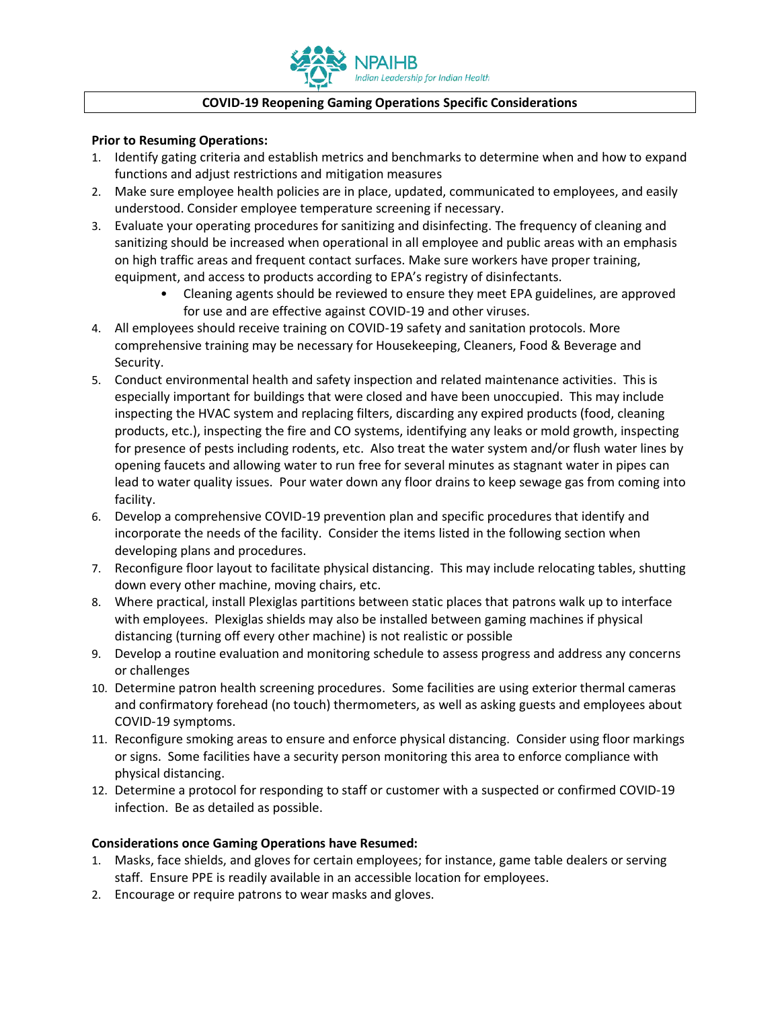

## **COVID-19 Reopening Gaming Operations Specific Considerations**

## **Prior to Resuming Operations:**

- 1. Identify gating criteria and establish metrics and benchmarks to determine when and how to expand functions and adjust restrictions and mitigation measures
- 2. Make sure employee health policies are in place, updated, communicated to employees, and easily understood. Consider employee temperature screening if necessary.
- 3. Evaluate your operating procedures for sanitizing and disinfecting. The frequency of cleaning and sanitizing should be increased when operational in all employee and public areas with an emphasis on high traffic areas and frequent contact surfaces. Make sure workers have proper training, equipment, and access to products according to EPA's registry of disinfectants.
	- Cleaning agents should be reviewed to ensure they meet EPA guidelines, are approved for use and are effective against COVID-19 and other viruses.
- 4. All employees should receive training on COVID-19 safety and sanitation protocols. More comprehensive training may be necessary for Housekeeping, Cleaners, Food & Beverage and Security.
- 5. Conduct environmental health and safety inspection and related maintenance activities. This is especially important for buildings that were closed and have been unoccupied. This may include inspecting the HVAC system and replacing filters, discarding any expired products (food, cleaning products, etc.), inspecting the fire and CO systems, identifying any leaks or mold growth, inspecting for presence of pests including rodents, etc. Also treat the water system and/or flush water lines by opening faucets and allowing water to run free for several minutes as stagnant water in pipes can lead to water quality issues. Pour water down any floor drains to keep sewage gas from coming into facility.
- 6. Develop a comprehensive COVID-19 prevention plan and specific procedures that identify and incorporate the needs of the facility. Consider the items listed in the following section when developing plans and procedures.
- 7. Reconfigure floor layout to facilitate physical distancing. This may include relocating tables, shutting down every other machine, moving chairs, etc.
- 8. Where practical, install Plexiglas partitions between static places that patrons walk up to interface with employees. Plexiglas shields may also be installed between gaming machines if physical distancing (turning off every other machine) is not realistic or possible
- 9. Develop a routine evaluation and monitoring schedule to assess progress and address any concerns or challenges
- 10. Determine patron health screening procedures. Some facilities are using exterior thermal cameras and confirmatory forehead (no touch) thermometers, as well as asking guests and employees about COVID-19 symptoms.
- 11. Reconfigure smoking areas to ensure and enforce physical distancing. Consider using floor markings or signs. Some facilities have a security person monitoring this area to enforce compliance with physical distancing.
- 12. Determine a protocol for responding to staff or customer with a suspected or confirmed COVID-19 infection. Be as detailed as possible.

## **Considerations once Gaming Operations have Resumed:**

- 1. Masks, face shields, and gloves for certain employees; for instance, game table dealers or serving staff. Ensure PPE is readily available in an accessible location for employees.
- 2. Encourage or require patrons to wear masks and gloves.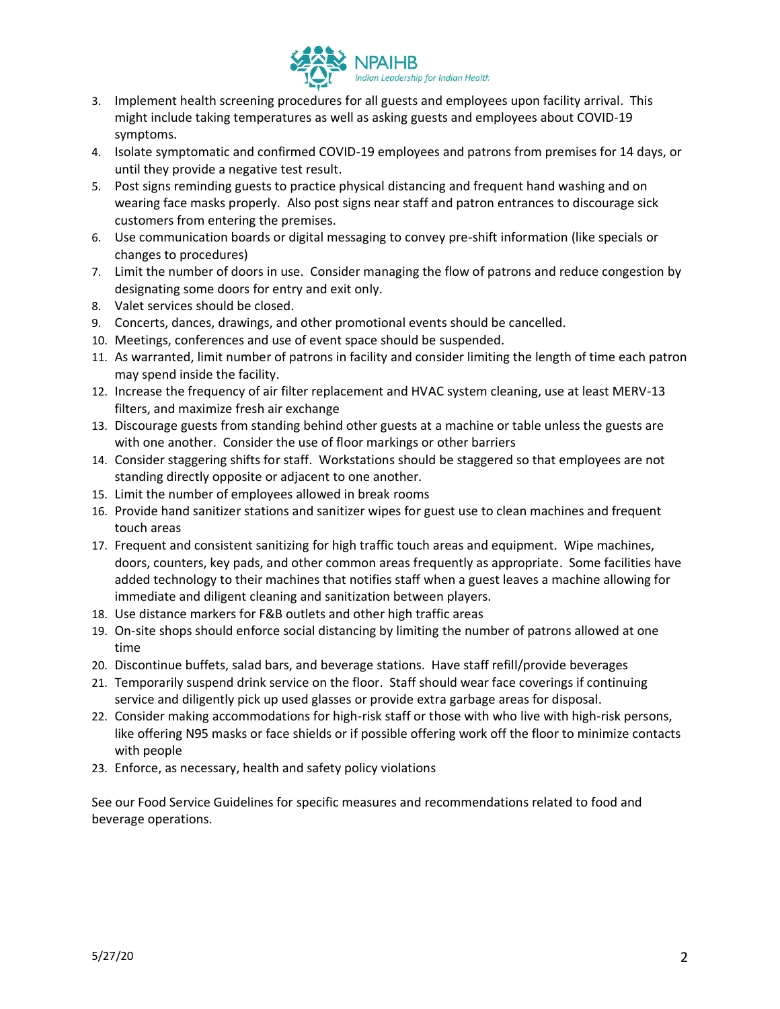

- 3. Implement health screening procedures for all guests and employees upon facility arrival. This might include taking temperatures as well as asking guests and employees about COVID-19 symptoms.
- 4. Isolate symptomatic and confirmed COVID-19 employees and patrons from premises for 14 days, or until they provide a negative test result.
- 5. Post signs reminding guests to practice physical distancing and frequent hand washing and on wearing face masks properly. Also post signs near staff and patron entrances to discourage sick customers from entering the premises.
- 6. Use communication boards or digital messaging to convey pre-shift information (like specials or changes to procedures)
- 7. Limit the number of doors in use. Consider managing the flow of patrons and reduce congestion by designating some doors for entry and exit only.
- 8. Valet services should be closed.
- 9. Concerts, dances, drawings, and other promotional events should be cancelled.
- 10. Meetings, conferences and use of event space should be suspended.
- 11. As warranted, limit number of patrons in facility and consider limiting the length of time each patron may spend inside the facility.
- 12. Increase the frequency of air filter replacement and HVAC system cleaning, use at least MERV-13 filters, and maximize fresh air exchange
- 13. Discourage guests from standing behind other guests at a machine or table unless the guests are with one another. Consider the use of floor markings or other barriers
- 14. Consider staggering shifts for staff. Workstations should be staggered so that employees are not standing directly opposite or adjacent to one another.
- 15. Limit the number of employees allowed in break rooms
- 16. Provide hand sanitizer stations and sanitizer wipes for guest use to clean machines and frequent touch areas
- 17. Frequent and consistent sanitizing for high traffic touch areas and equipment. Wipe machines, doors, counters, key pads, and other common areas frequently as appropriate. Some facilities have added technology to their machines that notifies staff when a guest leaves a machine allowing for immediate and diligent cleaning and sanitization between players.
- 18. Use distance markers for F&B outlets and other high traffic areas
- 19. On-site shops should enforce social distancing by limiting the number of patrons allowed at one time
- 20. Discontinue buffets, salad bars, and beverage stations. Have staff refill/provide beverages
- 21. Temporarily suspend drink service on the floor. Staff should wear face coverings if continuing service and diligently pick up used glasses or provide extra garbage areas for disposal.
- 22. Consider making accommodations for high-risk staff or those with who live with high-risk persons, like offering N95 masks or face shields or if possible offering work off the floor to minimize contacts with people
- 23. Enforce, as necessary, health and safety policy violations

See our Food Service Guidelines for specific measures and recommendations related to food and beverage operations.